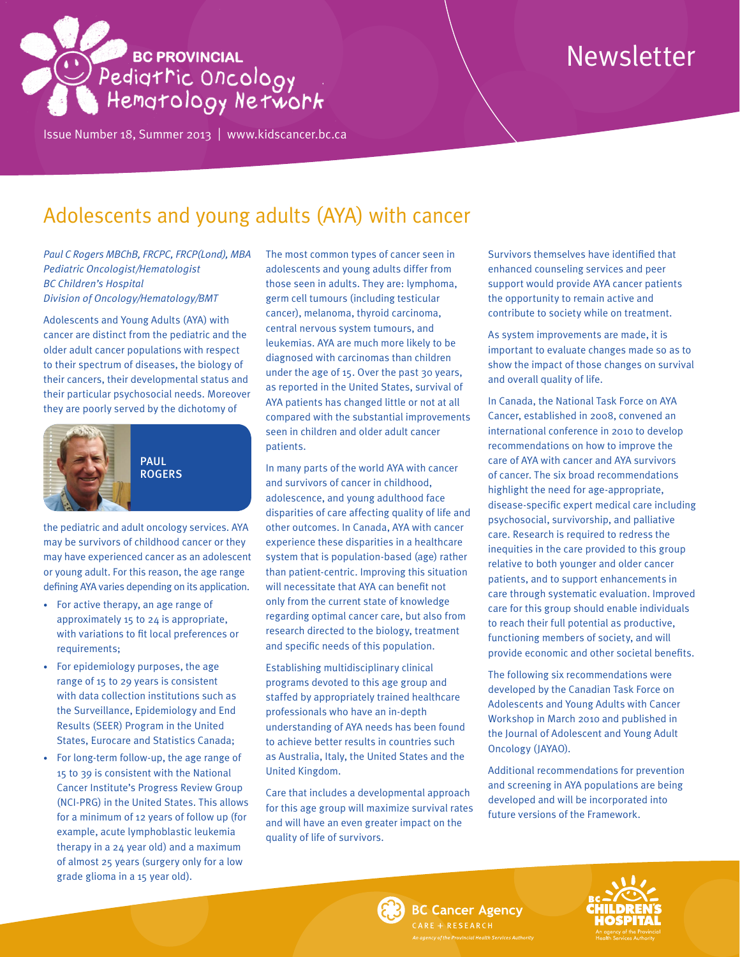# BE PROVINCIAL<br>Pedigtric Oncology<br>Hemgtology Network

Issue Number 18, Summer 2013 | <www.kidscancer.bc.ca>

# Newsletter

# Adolescents and young adults (AYA) with cancer

*Paul C Rogers MBChB, FRCPC, FRCP(Lond), MBA Pediatric Oncologist/Hematologist BC Children's Hospital Division of Oncology/Hematology/BMT*

Adolescents and Young Adults (AYA) with cancer are distinct from the pediatric and the older adult cancer populations with respect to their spectrum of diseases, the biology of their cancers, their developmental status and their particular psychosocial needs. Moreover they are poorly served by the dichotomy of



PAUL ROGERS

the pediatric and adult oncology services. AYA may be survivors of childhood cancer or they may have experienced cancer as an adolescent or young adult. For this reason, the age range defining AYA varies depending on its application.

- For active therapy, an age range of approximately 15 to 24 is appropriate, with variations to fit local preferences or requirements;
- For epidemiology purposes, the age range of 15 to 29 years is consistent with data collection institutions such as the Surveillance, Epidemiology and End Results (SEER) Program in the United States, Eurocare and Statistics Canada;
- For long-term follow-up, the age range of 15 to 39 is consistent with the National Cancer Institute's Progress Review Group (NCI-PRG) in the United States. This allows for a minimum of 12 years of follow up (for example, acute lymphoblastic leukemia therapy in a 24 year old) and a maximum of almost 25 years (surgery only for a low grade glioma in a 15 year old).

The most common types of cancer seen in adolescents and young adults differ from those seen in adults. They are: lymphoma, germ cell tumours (including testicular cancer), melanoma, thyroid carcinoma, central nervous system tumours, and leukemias. AYA are much more likely to be diagnosed with carcinomas than children under the age of 15. Over the past 30 years, as reported in the United States, survival of AYA patients has changed little or not at all compared with the substantial improvements seen in children and older adult cancer patients.

In many parts of the world AYA with cancer and survivors of cancer in childhood, adolescence, and young adulthood face disparities of care affecting quality of life and other outcomes. In Canada, AYA with cancer experience these disparities in a healthcare system that is population-based (age) rather than patient-centric. Improving this situation will necessitate that AYA can benefit not only from the current state of knowledge regarding optimal cancer care, but also from research directed to the biology, treatment and specific needs of this population.

Establishing multidisciplinary clinical programs devoted to this age group and staffed by appropriately trained healthcare professionals who have an in-depth understanding of AYA needs has been found to achieve better results in countries such as Australia, Italy, the United States and the United Kingdom.

Care that includes a developmental approach for this age group will maximize survival rates and will have an even greater impact on the quality of life of survivors.

Survivors themselves have identified that enhanced counseling services and peer support would provide AYA cancer patients the opportunity to remain active and contribute to society while on treatment.

As system improvements are made, it is important to evaluate changes made so as to show the impact of those changes on survival and overall quality of life.

In Canada, the National Task Force on AYA Cancer, established in 2008, convened an international conference in 2010 to develop recommendations on how to improve the care of AYA with cancer and AYA survivors of cancer. The six broad recommendations highlight the need for age-appropriate, disease-specific expert medical care including psychosocial, survivorship, and palliative care. Research is required to redress the inequities in the care provided to this group relative to both younger and older cancer patients, and to support enhancements in care through systematic evaluation. Improved care for this group should enable individuals to reach their full potential as productive, functioning members of society, and will provide economic and other societal benefits.

The following six recommendations were developed by the Canadian Task Force on Adolescents and Young Adults with Cancer Workshop in March 2010 and published in the Journal of Adolescent and Young Adult Oncology (JAYAO).

Additional recommendations for prevention and screening in AYA populations are being developed and will be incorporated into future versions of the Framework.





ARE + RESEARCH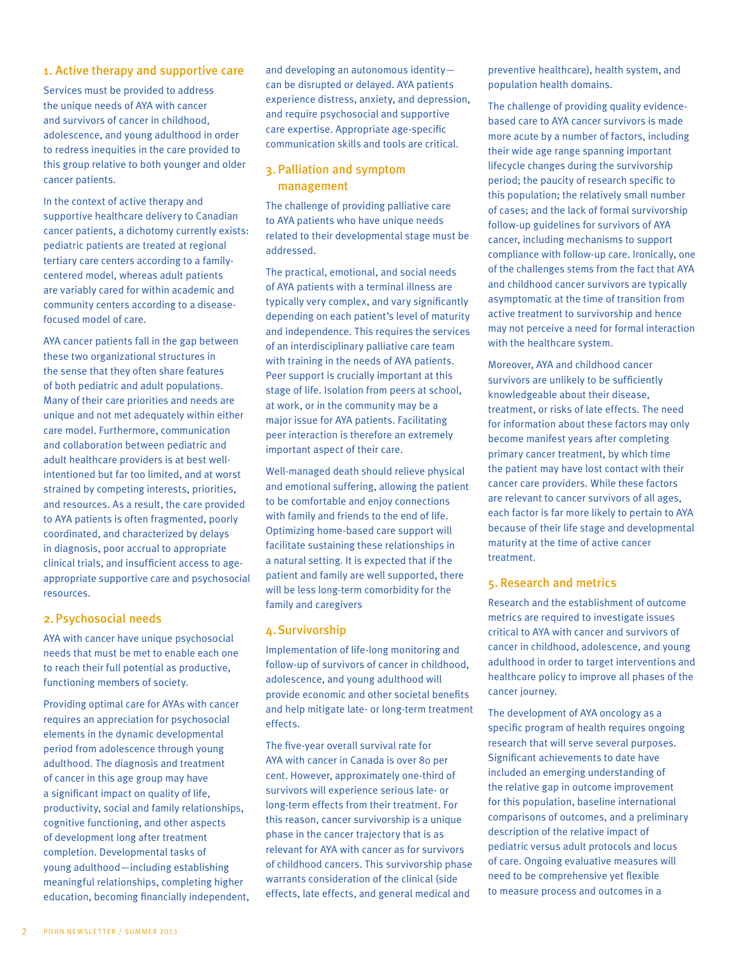### 1. Active therapy and supportive care

Services must be provided to address the unique needs of AYA with cancer and survivors of cancer in childhood, adolescence, and young adulthood in order to redress inequities in the care provided to this group relative to both younger and older cancer patients.

In the context of active therapy and supportive healthcare delivery to Canadian cancer patients, a dichotomy currently exists: pediatric patients are treated at regional tertiary care centers according to a familycentered model, whereas adult patients are variably cared for within academic and community centers according to a diseasefocused model of care.

AYA cancer patients fall in the gap between these two organizational structures in the sense that they often share features of both pediatric and adult populations. Many of their care priorities and needs are unique and not met adequately within either care model. Furthermore, communication and collaboration between pediatric and adult healthcare providers is at best wellintentioned but far too limited, and at worst strained by competing interests, priorities, and resources. As a result, the care provided to AYA patients is often fragmented, poorly coordinated, and characterized by delays in diagnosis, poor accrual to appropriate clinical trials, and insufficient access to ageappropriate supportive care and psychosocial resources.

# 2.Psychosocial needs

AYA with cancer have unique psychosocial needs that must be met to enable each one to reach their full potential as productive, functioning members of society.

Providing optimal care for AYAs with cancer requires an appreciation for psychosocial elements in the dynamic developmental period from adolescence through young adulthood. The diagnosis and treatment of cancer in this age group may have a significant impact on quality of life, productivity, social and family relationships, cognitive functioning, and other aspects of development long after treatment completion. Developmental tasks of young adulthood—including establishing meaningful relationships, completing higher education, becoming financially independent,

and developing an autonomous identity can be disrupted or delayed. AYA patients experience distress, anxiety, and depression, and require psychosocial and supportive care expertise. Appropriate age-specific communication skills and tools are critical.

# 3. Palliation and symptom management

The challenge of providing palliative care to AYA patients who have unique needs related to their developmental stage must be addressed.

The practical, emotional, and social needs of AYA patients with a terminal illness are typically very complex, and vary significantly depending on each patient's level of maturity and independence. This requires the services of an interdisciplinary palliative care team with training in the needs of AYA patients. Peer support is crucially important at this stage of life. Isolation from peers at school, at work, or in the community may be a major issue for AYA patients. Facilitating peer interaction is therefore an extremely important aspect of their care.

Well-managed death should relieve physical and emotional suffering, allowing the patient to be comfortable and enjoy connections with family and friends to the end of life. Optimizing home-based care support will facilitate sustaining these relationships in a natural setting. It is expected that if the patient and family are well supported, there will be less long-term comorbidity for the family and caregivers

# 4.Survivorship

Implementation of life-long monitoring and follow-up of survivors of cancer in childhood, adolescence, and young adulthood will provide economic and other societal benefits and help mitigate late- or long-term treatment effects.

The five-year overall survival rate for AYA with cancer in Canada is over 80 per cent. However, approximately one-third of survivors will experience serious late- or long-term effects from their treatment. For this reason, cancer survivorship is a unique phase in the cancer trajectory that is as relevant for AYA with cancer as for survivors of childhood cancers. This survivorship phase warrants consideration of the clinical (side effects, late effects, and general medical and

preventive healthcare), health system, and population health domains.

The challenge of providing quality evidencebased care to AYA cancer survivors is made more acute by a number of factors, including their wide age range spanning important lifecycle changes during the survivorship period; the paucity of research specific to this population; the relatively small number of cases; and the lack of formal survivorship follow-up guidelines for survivors of AYA cancer, including mechanisms to support compliance with follow-up care. Ironically, one of the challenges stems from the fact that AYA and childhood cancer survivors are typically asymptomatic at the time of transition from active treatment to survivorship and hence may not perceive a need for formal interaction with the healthcare system.

Moreover, AYA and childhood cancer survivors are unlikely to be sufficiently knowledgeable about their disease, treatment, or risks of late effects. The need for information about these factors may only become manifest years after completing primary cancer treatment, by which time the patient may have lost contact with their cancer care providers. While these factors are relevant to cancer survivors of all ages, each factor is far more likely to pertain to AYA because of their life stage and developmental maturity at the time of active cancer treatment.

### 5. Research and metrics

Research and the establishment of outcome metrics are required to investigate issues critical to AYA with cancer and survivors of cancer in childhood, adolescence, and young adulthood in order to target interventions and healthcare policy to improve all phases of the cancer journey.

The development of AYA oncology as a specific program of health requires ongoing research that will serve several purposes. Significant achievements to date have included an emerging understanding of the relative gap in outcome improvement for this population, baseline international comparisons of outcomes, and a preliminary description of the relative impact of pediatric versus adult protocols and locus of care. Ongoing evaluative measures will need to be comprehensive yet flexible to measure process and outcomes in a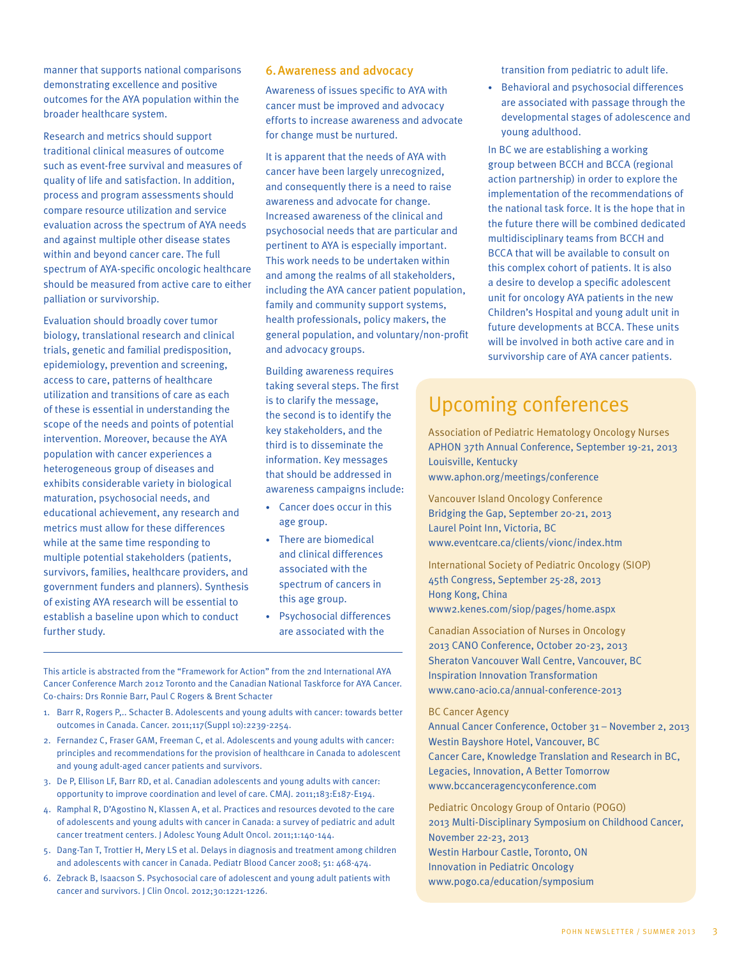manner that supports national comparisons demonstrating excellence and positive outcomes for the AYA population within the broader healthcare system.

Research and metrics should support traditional clinical measures of outcome such as event-free survival and measures of quality of life and satisfaction. In addition, process and program assessments should compare resource utilization and service evaluation across the spectrum of AYA needs and against multiple other disease states within and beyond cancer care. The full spectrum of AYA-specific oncologic healthcare should be measured from active care to either palliation or survivorship.

Evaluation should broadly cover tumor biology, translational research and clinical trials, genetic and familial predisposition, epidemiology, prevention and screening, access to care, patterns of healthcare utilization and transitions of care as each of these is essential in understanding the scope of the needs and points of potential intervention. Moreover, because the AYA population with cancer experiences a heterogeneous group of diseases and exhibits considerable variety in biological maturation, psychosocial needs, and educational achievement, any research and metrics must allow for these differences while at the same time responding to multiple potential stakeholders (patients, survivors, families, healthcare providers, and government funders and planners). Synthesis of existing AYA research will be essential to establish a baseline upon which to conduct further study.

### 6.Awareness and advocacy

Awareness of issues specific to AYA with cancer must be improved and advocacy efforts to increase awareness and advocate for change must be nurtured.

It is apparent that the needs of AYA with cancer have been largely unrecognized, and consequently there is a need to raise awareness and advocate for change. Increased awareness of the clinical and psychosocial needs that are particular and pertinent to AYA is especially important. This work needs to be undertaken within and among the realms of all stakeholders, including the AYA cancer patient population, family and community support systems, health professionals, policy makers, the general population, and voluntary/non-profit and advocacy groups.

Building awareness requires taking several steps. The first is to clarify the message, the second is to identify the key stakeholders, and the third is to disseminate the information. Key messages that should be addressed in awareness campaigns include:

- Cancer does occur in this age group.
- There are biomedical and clinical differences associated with the spectrum of cancers in this age group.
- Psychosocial differences are associated with the

This article is abstracted from the "Framework for Action" from the 2nd International AYA Cancer Conference March 2012 Toronto and the Canadian National Taskforce for AYA Cancer. Co-chairs: Drs Ronnie Barr, Paul C Rogers & Brent Schacter

- 1. Barr R, Rogers P,.. Schacter B. Adolescents and young adults with cancer: towards better outcomes in Canada. Cancer. 2011;117(Suppl 10):2239-2254.
- 2. Fernandez C, Fraser GAM, Freeman C, et al. Adolescents and young adults with cancer: principles and recommendations for the provision of healthcare in Canada to adolescent and young adult-aged cancer patients and survivors.
- 3. De P, Ellison LF, Barr RD, et al. Canadian adolescents and young adults with cancer: opportunity to improve coordination and level of care. CMAJ. 2011;183:E187-E194.
- 4. Ramphal R, D'Agostino N, Klassen A, et al. Practices and resources devoted to the care of adolescents and young adults with cancer in Canada: a survey of pediatric and adult cancer treatment centers. J Adolesc Young Adult Oncol. 2011;1:140-144.
- 5. Dang-Tan T, Trottier H, Mery LS et al. Delays in diagnosis and treatment among children and adolescents with cancer in Canada. Pediatr Blood Cancer 2008; 51: 468-474.
- 6. Zebrack B, Isaacson S. Psychosocial care of adolescent and young adult patients with cancer and survivors. J Clin Oncol. 2012;30:1221-1226.

transition from pediatric to adult life.

• Behavioral and psychosocial differences are associated with passage through the developmental stages of adolescence and young adulthood.

In BC we are establishing a working group between BCCH and BCCA (regional action partnership) in order to explore the implementation of the recommendations of the national task force. It is the hope that in the future there will be combined dedicated multidisciplinary teams from BCCH and BCCA that will be available to consult on this complex cohort of patients. It is also a desire to develop a specific adolescent unit for oncology AYA patients in the new Children's Hospital and young adult unit in future developments at BCCA. These units will be involved in both active care and in survivorship care of AYA cancer patients.

# Upcoming conferences

Association of Pediatric Hematology Oncology Nurses APHON 37th Annual Conference, September 19-21, 2013 Louisville, Kentucky <www.aphon.org/meetings/conference>

Vancouver Island Oncology Conference Bridging the Gap, September 20-21, 2013 Laurel Point Inn, Victoria, BC <www.eventcare.ca/clients/vionc/index.htm>

International Society of Pediatric Oncology (SIOP) 45th Congress, September 25-28, 2013 Hong Kong, China <www2.kenes.com/siop/pages/home.aspx>

Canadian Association of Nurses in Oncology 2013 CANO Conference, October 20-23, 2013 Sheraton Vancouver Wall Centre, Vancouver, BC Inspiration Innovation Transformation <www.cano-acio.ca/annual>-conference-2013

# BC Cancer Agency

Annual Cancer Conference, October 31 – November 2, 2013 Westin Bayshore Hotel, Vancouver, BC Cancer Care, Knowledge Translation and Research in BC, Legacies, Innovation, A Better Tomorrow <www.bccanceragencyconference.com>

Pediatric Oncology Group of Ontario (POGO) 2013 Multi-Disciplinary Symposium on Childhood Cancer, November 22-23, 2013 Westin Harbour Castle, Toronto, ON Innovation in Pediatric Oncology <www.pogo.ca/education/symposium>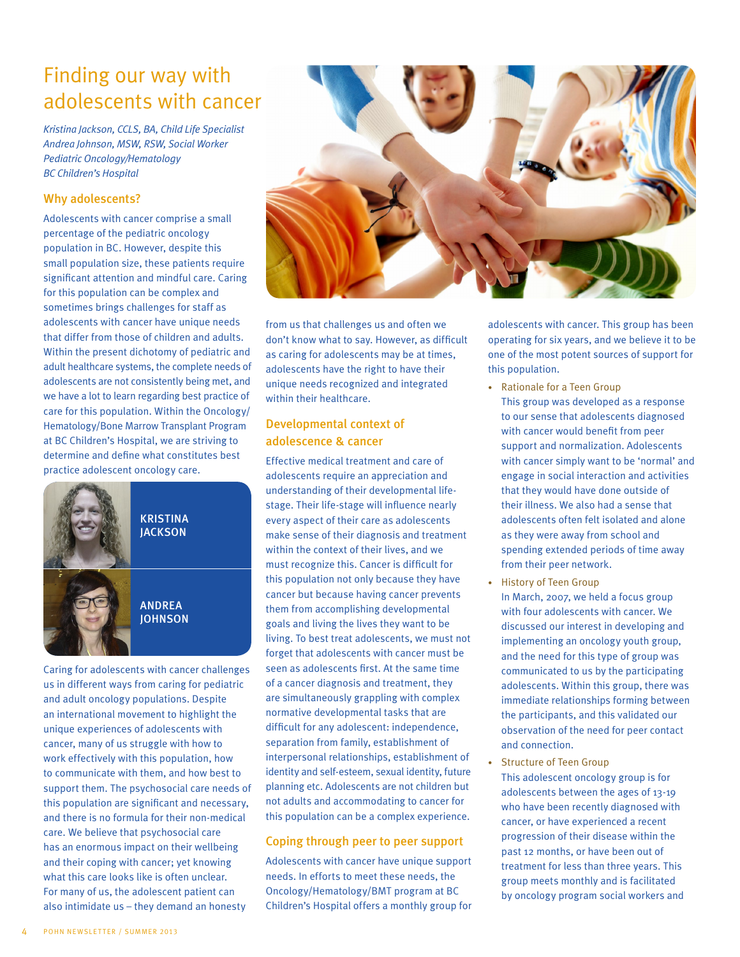# Finding our way with adolescents with cancer

*Kristina Jackson, CCLS, BA, Child Life Specialist Andrea Johnson, MSW, RSW, Social Worker Pediatric Oncology/Hematology BC Children's Hospital*

# Why adolescents?

Adolescents with cancer comprise a small percentage of the pediatric oncology population in BC. However, despite this small population size, these patients require significant attention and mindful care. Caring for this population can be complex and sometimes brings challenges for staff as adolescents with cancer have unique needs that differ from those of children and adults. Within the present dichotomy of pediatric and adult healthcare systems, the complete needs of adolescents are not consistently being met, and we have a lot to learn regarding best practice of care for this population. Within the Oncology/ Hematology/Bone Marrow Transplant Program at BC Children's Hospital, we are striving to determine and define what constitutes best practice adolescent oncology care.



Caring for adolescents with cancer challenges us in different ways from caring for pediatric and adult oncology populations. Despite an international movement to highlight the unique experiences of adolescents with cancer, many of us struggle with how to work effectively with this population, how to communicate with them, and how best to support them. The psychosocial care needs of this population are significant and necessary, and there is no formula for their non-medical care. We believe that psychosocial care has an enormous impact on their wellbeing and their coping with cancer; yet knowing what this care looks like is often unclear. For many of us, the adolescent patient can also intimidate us – they demand an honesty



from us that challenges us and often we don't know what to say. However, as difficult as caring for adolescents may be at times, adolescents have the right to have their unique needs recognized and integrated within their healthcare.

# Developmental context of adolescence & cancer

Effective medical treatment and care of adolescents require an appreciation and understanding of their developmental lifestage. Their life-stage will influence nearly every aspect of their care as adolescents make sense of their diagnosis and treatment within the context of their lives, and we must recognize this. Cancer is difficult for this population not only because they have cancer but because having cancer prevents them from accomplishing developmental goals and living the lives they want to be living. To best treat adolescents, we must not forget that adolescents with cancer must be seen as adolescents first. At the same time of a cancer diagnosis and treatment, they are simultaneously grappling with complex normative developmental tasks that are difficult for any adolescent: independence, separation from family, establishment of interpersonal relationships, establishment of identity and self-esteem, sexual identity, future planning etc. Adolescents are not children but not adults and accommodating to cancer for this population can be a complex experience.

# Coping through peer to peer support

Adolescents with cancer have unique support needs. In efforts to meet these needs, the Oncology/Hematology/BMT program at BC Children's Hospital offers a monthly group for

adolescents with cancer. This group has been operating for six years, and we believe it to be one of the most potent sources of support for this population.

- Rationale for a Teen Group This group was developed as a response to our sense that adolescents diagnosed with cancer would benefit from peer support and normalization. Adolescents with cancer simply want to be 'normal' and engage in social interaction and activities that they would have done outside of their illness. We also had a sense that adolescents often felt isolated and alone as they were away from school and spending extended periods of time away from their peer network.
- History of Teen Group In March, 2007, we held a focus group with four adolescents with cancer. We discussed our interest in developing and implementing an oncology youth group, and the need for this type of group was communicated to us by the participating adolescents. Within this group, there was immediate relationships forming between the participants, and this validated our observation of the need for peer contact and connection.
- Structure of Teen Group This adolescent oncology group is for adolescents between the ages of 13-19 who have been recently diagnosed with cancer, or have experienced a recent progression of their disease within the past 12 months, or have been out of treatment for less than three years. This group meets monthly and is facilitated by oncology program social workers and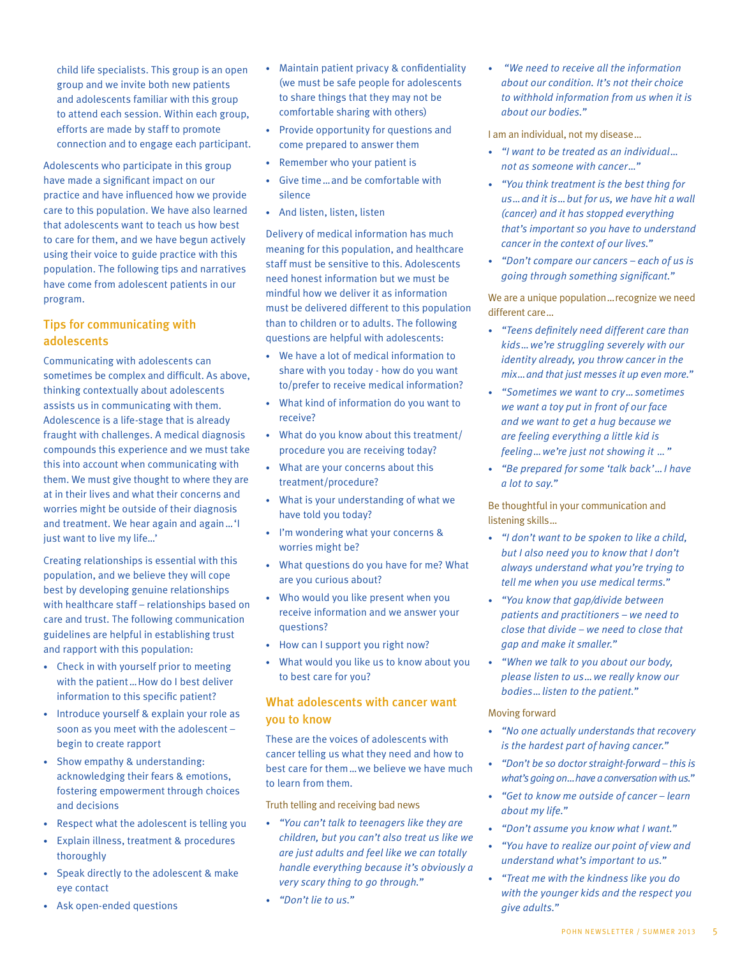child life specialists. This group is an open group and we invite both new patients and adolescents familiar with this group to attend each session. Within each group, efforts are made by staff to promote connection and to engage each participant.

Adolescents who participate in this group have made a significant impact on our practice and have influenced how we provide care to this population. We have also learned that adolescents want to teach us how best to care for them, and we have begun actively using their voice to guide practice with this population. The following tips and narratives have come from adolescent patients in our program.

# Tips for communicating with adolescents

Communicating with adolescents can sometimes be complex and difficult. As above, thinking contextually about adolescents assists us in communicating with them. Adolescence is a life-stage that is already fraught with challenges. A medical diagnosis compounds this experience and we must take this into account when communicating with them. We must give thought to where they are at in their lives and what their concerns and worries might be outside of their diagnosis and treatment. We hear again and again…'I just want to live my life…'

Creating relationships is essential with this population, and we believe they will cope best by developing genuine relationships with healthcare staff – relationships based on care and trust. The following communication guidelines are helpful in establishing trust and rapport with this population:

- Check in with yourself prior to meeting with the patient... How do I best deliver information to this specific patient?
- Introduce yourself & explain your role as soon as you meet with the adolescent – begin to create rapport
- Show empathy & understanding: acknowledging their fears & emotions, fostering empowerment through choices and decisions
- Respect what the adolescent is telling you
- Explain illness, treatment & procedures thoroughly
- Speak directly to the adolescent & make eye contact
- Ask open-ended questions
- Maintain patient privacy & confidentiality (we must be safe people for adolescents to share things that they may not be comfortable sharing with others)
- Provide opportunity for questions and come prepared to answer them
- Remember who your patient is
- Give time…and be comfortable with silence
- And listen, listen, listen

Delivery of medical information has much meaning for this population, and healthcare staff must be sensitive to this. Adolescents need honest information but we must be mindful how we deliver it as information must be delivered different to this population than to children or to adults. The following questions are helpful with adolescents:

- We have a lot of medical information to share with you today - how do you want to/prefer to receive medical information?
- What kind of information do you want to receive?
- What do you know about this treatment/ procedure you are receiving today?
- What are your concerns about this treatment/procedure?
- What is your understanding of what we have told you today?
- I'm wondering what your concerns & worries might be?
- What questions do you have for me? What are you curious about?
- Who would you like present when you receive information and we answer your questions?
- How can I support you right now?
- What would you like us to know about you to best care for you?

# What adolescents with cancer want you to know

These are the voices of adolescents with cancer telling us what they need and how to best care for them…we believe we have much to learn from them.

Truth telling and receiving bad news

- *• "You can't talk to teenagers like they are children, but you can't also treat us like we are just adults and feel like we can totally handle everything because it's obviously a very scary thing to go through."*
- *• "Don't lie to us."*

*• "We need to receive all the information about our condition. It's not their choice to withhold information from us when it is about our bodies."*

I am an individual, not my disease…

- *• "I want to be treated as an individual… not as someone with cancer…"*
- *• "You think treatment is the best thing for us…and it is…but for us, we have hit a wall (cancer) and it has stopped everything that's important so you have to understand cancer in the context of our lives."*
- *• "Don't compare our cancers each of us is going through something significant."*

We are a unique population…recognize we need different care…

- *• "Teens definitely need different care than kids…we're struggling severely with our identity already, you throw cancer in the mix…and that just messes it up even more."*
- *• "Sometimes we want to cry…sometimes we want a toy put in front of our face and we want to get a hug because we are feeling everything a little kid is feeling…we're just not showing it …"*
- *• "Be prepared for some 'talk back'…I have a lot to say."*

Be thoughtful in your communication and listening skills…

- *• "I don't want to be spoken to like a child, but I also need you to know that I don't always understand what you're trying to tell me when you use medical terms."*
- *• "You know that gap/divide between patients and practitioners – we need to close that divide – we need to close that gap and make it smaller."*
- *• "When we talk to you about our body, please listen to us…we really know our bodies…listen to the patient."*

### Moving forward

- *• "No one actually understands that recovery is the hardest part of having cancer."*
- *• "Don't be so doctor straight-forward this is what's going on…have a conversation with us."*
- *• "Get to know me outside of cancer learn about my life."*
- *• "Don't assume you know what I want."*
- *• "You have to realize our point of view and understand what's important to us."*
- *• "Treat me with the kindness like you do with the younger kids and the respect you give adults."*